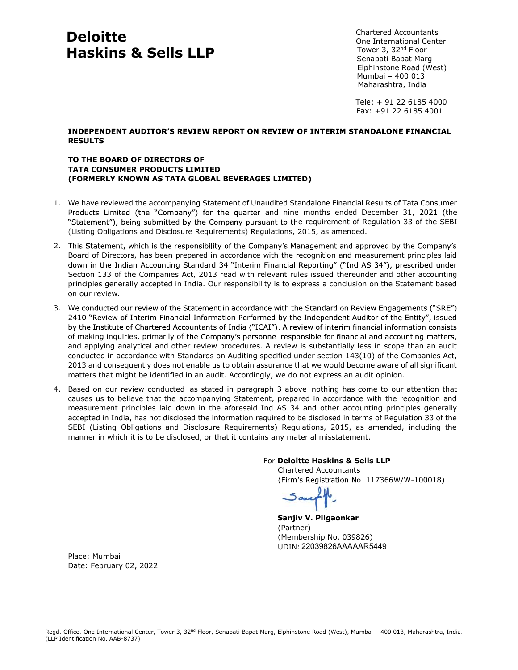## Deloitte Haskins & Sells LLP

Chartered Accountants One International Center Tower 3, 32nd Floor Senapati Bapat Marg Elphinstone Road (West) Mumbai - 400 013 Maharashtra, India

 Tele: + 91 22 6185 4000 Fax: +91 22 6185 4001

# RESULTS

### TO THE BOARD OF DIRECTORS OF TATA CONSUMER PRODUCTS LIMITED (FORMERLY KNOWN AS TATA GLOBAL BEVERAGES LIMITED)

- **1. Chartered Accountants**<br> **Haskins & Sells LLP**<br>
Tower 3, 32<sup>nd</sup> Floor<br>
Senapat Bapat Marg<br>
Elect + 91 22 6185 4000<br>
Moharashtra, India<br>
Telet + 91 22 6185 4000<br>
TRIA CONSUMER PRODUCTS REVIEW REPORT ON REVIEW OF INTERIM Products Limited (the "Company") for the quarter and nine months ended December 31, 2021 (the "Statement"), being submitted by the Company pursuant to the requirement of Regulation 33 of the SEBI (Listing Obligations and Disclosure Requirements) Regulations, 2015, as amended.
- **Deloitte**<br> **Haskins & Sells LLP**<br> **Haskins & Sells LLP**<br> **RESULTS**<br> **RESULTS**<br> **TO THE BOARD OF DIRECTORS OF<br>
TATA CONSUMER PRODUCTS LIMITED<br>
(FORMERLY KNOWN AS TATA GLOBAL BEVERAGES LIMITED)**<br>
1. We have reviewed the acc Board of Directors, has been prepared in accordance with the recognition and measurement principles laid Section 133 of the Companies Act, 2013 read with relevant rules issued thereunder and other accounting principles generally accepted in India. Our responsibility is to express a conclusion on the Statement based on our review. **INDEPENDENT AUDITOR'S REVIEW REPORT ON REVIEW OF INTERIM<br>
RESULTS<br>
TO THE BOARD OF DIRECTORS OF<br>
TATA CONSUMER PRODUCTS LIMITED<br>
(FORMERLY KNOWN AS TATA GLOBAL BEVERAGES LIMITED)<br>
1. We have reviewed the accompanying Stat**
- of making inquiries, primarily of the Company's personnel responsible for financial and accounting matters, and applying analytical and other review procedures. A review is substantially less in scope than an audit conducted in accordance with Standards on Auditing specified under section 143(10) of the Companies Act, 2013 and consequently does not enable us to obtain assurance that we would become aware of all significant matters that might be identified in an audit. Accordingly, we do not express an audit opinion. **TATA CONSUMER PRODUCTS LIMITED**<br>
(FORMERLY WOWW AS TATA GLOBAL BEVERAGES LIMITED)<br>
<sup>2</sup>. Me have reviewed the accompanying Statement of Unaudited Standalone Financial Results of Tata Consumer<br>
<sup>2</sup> Products Limited (the "C
- causes us to believe that the accompanying Statement, prepared in accordance with the recognition and measurement principles laid down in the aforesaid Ind AS 34 and other accounting principles generally accepted in India, has not disclosed the information required to be disclosed in terms of Regulation 33 of the SEBI (Listing Obligations and Disclosure Requirements) Regulations, 2015, as amended, including the manner in which it is to be disclosed, or that it contains any material misstatement.

For Deloitte Haskins & Sells LLP

 Chartered Accountants (Firm's Registration No. 117366W/W-100018)

 Sanjiv V. Pilgaonkar (Partner) (Membership No. 039826) UDIN: 22039826AAAAAR5449

Place: Mumbai Date: February 02, 2022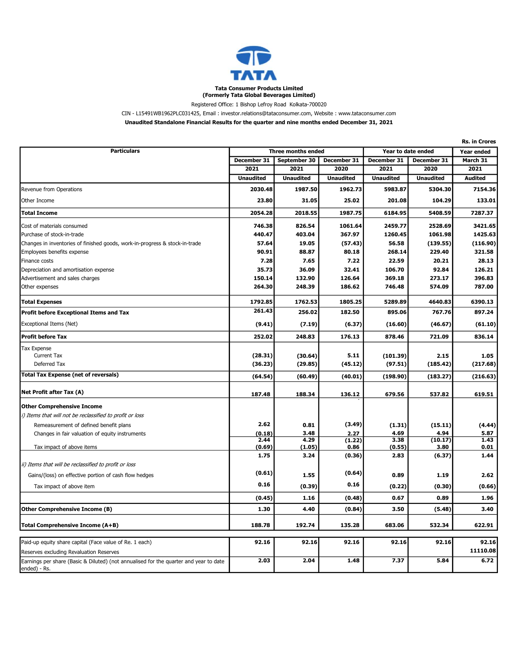

Registered Office: 1 Bishop Lefroy Road Kolkata-700020

#### CIN - L15491WB1962PLC031425, Email : investor.relations@tataconsumer.com, Website : www.tataconsumer.com

Unaudited Standalone Financial Results for the quarter and nine months ended December 31, 2021

|                                                                                                                |                    |                  |                  |                    |                  | <b>Rs. in Crores</b> |
|----------------------------------------------------------------------------------------------------------------|--------------------|------------------|------------------|--------------------|------------------|----------------------|
| <b>Particulars</b>                                                                                             | Three months ended |                  |                  | Year to date ended |                  | Year ended           |
|                                                                                                                | December 31        | September 30     | December 31      | December 31        | December 31      | March 31             |
|                                                                                                                | 2021               | 2021             | 2020             | 2021               | 2020             | 2021                 |
|                                                                                                                | <b>Unaudited</b>   | <b>Unaudited</b> | <b>Unaudited</b> | <b>Unaudited</b>   | <b>Unaudited</b> | <b>Audited</b>       |
| Revenue from Operations                                                                                        | 2030.48            | 1987.50          | 1962.73          | 5983.87            | 5304.30          | 7154.36              |
| Other Income                                                                                                   | 23.80              | 31.05            | 25.02            | 201.08             | 104.29           | 133.01               |
| <b>Total Income</b>                                                                                            | 2054.28            | 2018.55          | 1987.75          | 6184.95            | 5408.59          | 7287.37              |
| Cost of materials consumed                                                                                     | 746.38             | 826.54           | 1061.64          | 2459.77            | 2528.69          | 3421.65              |
| Purchase of stock-in-trade                                                                                     | 440.47             | 403.04           | 367.97           | 1260.45            | 1061.98          | 1425.63              |
| Changes in inventories of finished goods, work-in-progress & stock-in-trade                                    | 57.64              | 19.05            | (57.43)          | 56.58              | (139.55)         | (116.90)             |
| Employees benefits expense                                                                                     | 90.91              | 88.87            | 80.18            | 268.14             | 229.40           | 321.58               |
| Finance costs                                                                                                  | 7.28               | 7.65             | 7.22             | 22.59              | 20.21            | 28.13                |
| Depreciation and amortisation expense                                                                          | 35.73              | 36.09            | 32.41            | 106.70             | 92.84            | 126.21               |
| Advertisement and sales charges                                                                                | 150.14             | 132.90           | 126.64           | 369.18             | 273.17           | 396.83               |
| Other expenses                                                                                                 | 264.30             | 248.39           | 186.62           | 746.48             | 574.09           | 787.00               |
| <b>Total Expenses</b>                                                                                          | 1792.85            | 1762.53          | 1805.25          | 5289.89            | 4640.83          | 6390.13              |
| Profit before Exceptional Items and Tax                                                                        | 261.43             | 256.02           | 182.50           | 895.06             | 767.76           | 897.24               |
| Exceptional Items (Net)                                                                                        | (9.41)             | (7.19)           | (6.37)           | (16.60)            | (46.67)          | (61.10)              |
| <b>Profit before Tax</b>                                                                                       | 252.02             | 248.83           | 176.13           | 878.46             | 721.09           | 836.14               |
| <b>Tax Expense</b>                                                                                             |                    |                  |                  |                    |                  |                      |
| Current Tax                                                                                                    | (28.31)            | (30.64)          | 5.11             | (101.39)           | 2.15             | 1.05                 |
| Deferred Tax                                                                                                   | (36.23)            | (29.85)          | (45.12)          | (97.51)            | (185.42)         | (217.68)             |
| <b>Total Tax Expense (net of reversals)</b>                                                                    | (64.54)            | (60.49)          | (40.01)          | (198.90)           | (183.27)         | (216.63)             |
| Net Profit after Tax (A)                                                                                       | 187.48             | 188.34           | 136.12           | 679.56             | 537.82           | 619.51               |
| <b>Other Comprehensive Income</b>                                                                              |                    |                  |                  |                    |                  |                      |
| i) Items that will not be reclassified to profit or loss                                                       |                    |                  |                  |                    |                  |                      |
| Remeasurement of defined benefit plans                                                                         | 2.62               | 0.81             | (3.49)           | (1.31)             | (15.11)          | (4.44)               |
| Changes in fair valuation of equity instruments                                                                | (0.18)             | 3.48             | 2.27             | 4.69               | 4.94             | 5.87                 |
|                                                                                                                | 2.44               | 4.29             | (1.22)           | 3.38               | (10.17)          | 1.43                 |
| Tax impact of above items                                                                                      | (0.69)             | (1.05)           | 0.86             | (0.55)             | 3.80             | 0.01                 |
|                                                                                                                | 1.75               | 3.24             | (0.36)           | 2.83               | (6.37)           | 1.44                 |
| ii) Items that will be reclassified to profit or loss<br>Gains/(loss) on effective portion of cash flow hedges | (0.61)             | 1.55             | (0.64)           | 0.89               | 1.19             | 2.62                 |
| Tax impact of above item                                                                                       | 0.16               | (0.39)           | 0.16             | (0.22)             | (0.30)           | (0.66)               |
|                                                                                                                | (0.45)             | 1.16             | (0.48)           | 0.67               | 0.89             | 1.96                 |
| <b>Other Comprehensive Income (B)</b>                                                                          | 1.30               | 4.40             | (0.84)           | 3.50               | (5.48)           | 3.40                 |
|                                                                                                                |                    |                  |                  |                    |                  |                      |
| Total Comprehensive Income (A+B)                                                                               | 188.78             | 192.74           | 135.28           | 683.06             | 532.34           | 622.91               |
| Paid-up equity share capital (Face value of Re. 1 each)                                                        | 92.16              | 92.16            | 92.16            | 92.16              | 92.16            | 92.16                |
| Reserves excluding Revaluation Reserves                                                                        |                    |                  |                  |                    |                  | 11110.08             |
| Earnings per share (Basic & Diluted) (not annualised for the quarter and year to date                          | 2.03               | 2.04             | 1.48             | 7.37               | 5.84             | 6.72                 |
| ended) - Rs.                                                                                                   |                    |                  |                  |                    |                  |                      |